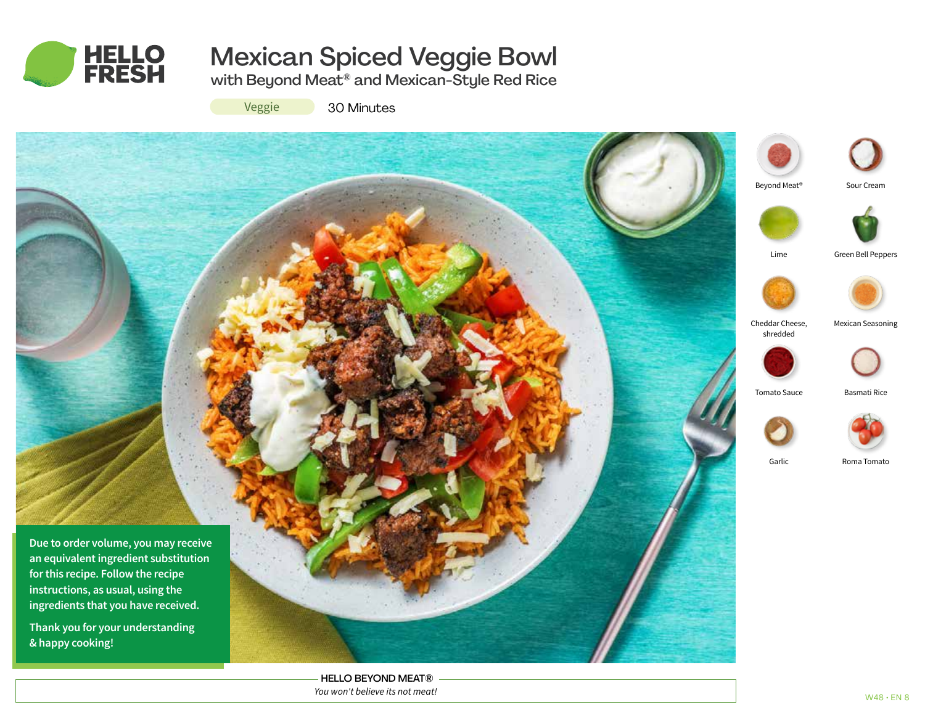

# Mexican Spiced Veggie Bowl

with Beyond Meat® and Mexican-Style Red Rice

Veggie

30 Minutes



HELLO BEYOND MEAT® *You won't believe its not meat!*